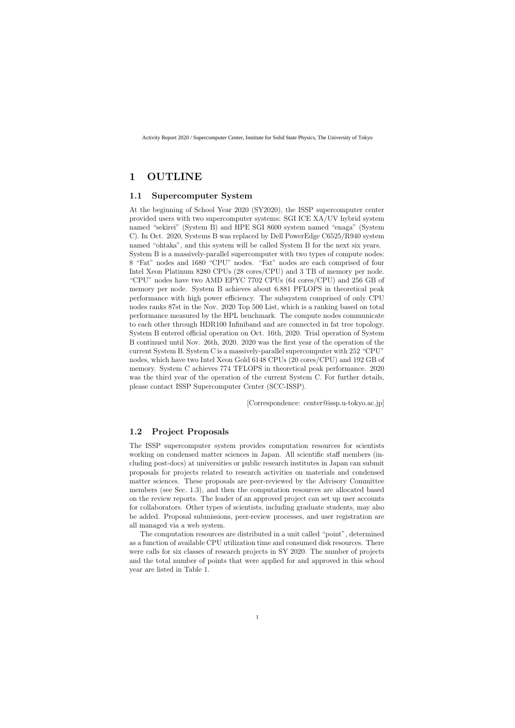# **1 OUTLINE**

#### **1.1 Supercomputer System**

At the beginning of School Year 2020 (SY2020), the ISSP supercomputer center provided users with two supercomputer systems: SGI ICE XA/UV hybrid system named "sekirei" (System B) and HPE SGI 8600 system named "enaga" (System C). In Oct. 2020, Systems B was replaced by Dell PowerEdge C6525/R940 system named "ohtaka", and this system will be called System B for the next six years. System B is a massively-parallel supercomputer with two types of compute nodes: 8 "Fat" nodes and 1680 "CPU" nodes. "Fat" nodes are each comprised of four Intel Xeon Platinum 8280 CPUs (28 cores/CPU) and 3 TB of memory per node. "CPU" nodes have two AMD EPYC 7702 CPUs (64 cores/CPU) and 256 GB of memory per node. System B achieves about 6.881 PFLOPS in theoretical peak performance with high power efficiency. The subsystem comprised of only CPU nodes ranks 87st in the Nov. 2020 Top 500 List, which is a ranking based on total performance measured by the HPL benchmark. The compute nodes communicate to each other through HDR100 Infiniband and are connected in fat tree topology. System B entered official operation on Oct. 16th, 2020. Trial operation of System B continued until Nov. 26th, 2020. 2020 was the first year of the operation of the current System B. System C is a massively-parallel supercomputer with 252 "CPU" nodes, which have two Intel Xeon Gold 6148 CPUs (20 cores/CPU) and 192 GB of memory. System C achieves 774 TFLOPS in theoretical peak performance. 2020 was the third year of the operation of the current System C. For further details, please contact ISSP Supercomputer Center (SCC-ISSP).

[Correspondence: center@issp.u-tokyo.ac.jp]

#### **1.2 Project Proposals**

The ISSP supercomputer system provides computation resources for scientists working on condensed matter sciences in Japan. All scientific staff members (including post-docs) at universities or public research institutes in Japan can submit proposals for projects related to research activities on materials and condensed matter sciences. These proposals are peer-reviewed by the Advisory Committee members (see Sec. 1.3), and then the computation resources are allocated based on the review reports. The leader of an approved project can set up user accounts for collaborators. Other types of scientists, including graduate students, may also be added. Proposal submissions, peer-review processes, and user registration are all managed via a web system.

The computation resources are distributed in a unit called "point", determined as a function of available CPU utilization time and consumed disk resources. There were calls for six classes of research projects in SY 2020. The number of projects and the total number of points that were applied for and approved in this school year are listed in Table 1.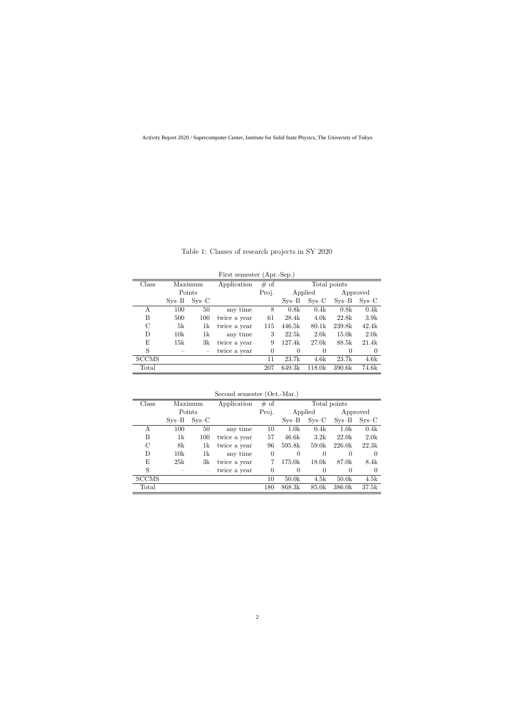| First semester (Apr.-Sep.) |         |         |              |                |                     |          |          |          |
|----------------------------|---------|---------|--------------|----------------|---------------------|----------|----------|----------|
| $\rm Class$                |         | Maximum | Application  | # of           | Total points        |          |          |          |
|                            | Points  |         |              | Proj.          | Applied<br>Approved |          |          |          |
|                            | $Sys-B$ | $Sys-C$ |              |                | $SVS - B$           | $Sys-C$  | $Sys-B$  | $Sys-C$  |
| А                          | 100     | 50      | any time     | 8              | 0.8k                | 0.4k     | 0.8k     | 0.4k     |
| В                          | 500     | 100     | twice a year | 61             | 28.4k               | 4.0k     | 22.8k    | 3.9k     |
| $\rm C$                    | 5k      | 1k      | twice a year | 115            | 446.5k              | 80.1k    | 239.8k   | 42.4k    |
| D                          | 10k     | 1k      | any time     | 3              | 22.5k               | 2.0k     | 15.0k    | 2.0k     |
| E                          | 15k     | 3k      | twice a year | 9              | 127.4k              | 27.0k    | 88.5k    | 21.4k    |
| S                          |         |         | twice a year | $\overline{0}$ | $\Omega$            | $\theta$ | $\theta$ | $\Omega$ |
| <b>SCCMS</b>               |         |         |              | 11             | 23.7k               | 4.6k     | 23.7k    | 4.6k     |
| Total                      |         |         |              | 207            | 649.3k              | 118.0k   | 390.6k   | 74.6k    |

Table 1: Classes of research projects in SY 2020

| Class        | Maximum   |         | Application  | # of     | Total points     |                   |                   |          |
|--------------|-----------|---------|--------------|----------|------------------|-------------------|-------------------|----------|
|              | Points    |         |              | Proj.    | Applied          |                   | Approved          |          |
|              | $SVS - B$ | $Sys-C$ |              |          | $SVS - B$        | $Sys-C$           | $Sys-B$           | $SVS-C$  |
| А            | 100       | 50      | any time     | 10       | 1.0 <sub>k</sub> | 0.4k              | 1.0k              | 0.4k     |
| В            | 1k        | 100     | twice a year | 57       | 46.6k            | 3.2k              | 22.0k             | 2.0k     |
| $\rm C$      | 8k        | 1k      | twice a year | 96       | 595.8k           | 59.0k             | 226.0k            | 22.3k    |
| D            | 10k       | 1k      | any time     | $\theta$ | $\theta$         | $\theta$          | $\theta$          | $\Omega$ |
| Ε            | 25k       | 3k      | twice a year |          | 175.0k           | 18.0 <sub>k</sub> | 87.0k             | 8.4k     |
| S            |           |         | twice a year | 0        | $\Omega$         | $\Omega$          | $\Omega$          | $\Omega$ |
| <b>SCCMS</b> |           |         |              | 10       | 50.0k            | 4.5k              | 50.0 <sub>k</sub> | 4.5k     |
| Total        |           |         |              | 180      | 868.3k           | 85.0k             | 386.0k            | 37.5k    |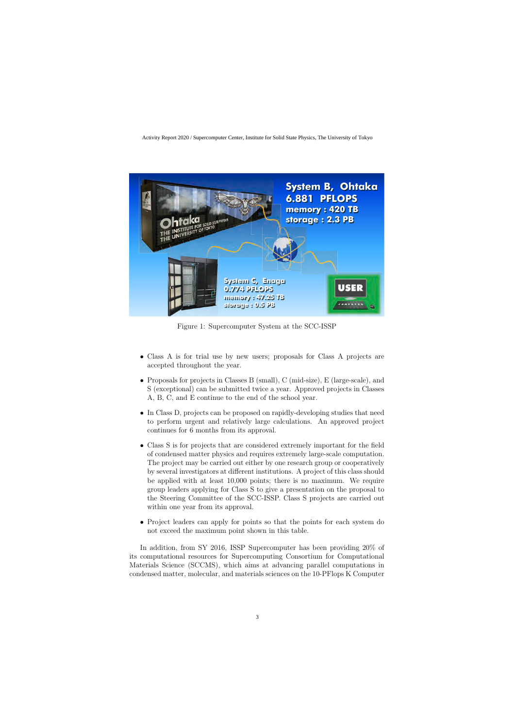

Figure 1: Supercomputer System at the SCC-ISSP

- *•* Class A is for trial use by new users; proposals for Class A projects are accepted throughout the year.
- Proposals for projects in Classes B (small), C (mid-size), E (large-scale), and S (exceptional) can be submitted twice a year. Approved projects in Classes A, B, C, and E continue to the end of the school year.
- In Class D, projects can be proposed on rapidly-developing studies that need to perform urgent and relatively large calculations. An approved project continues for 6 months from its approval.
- *•* Class S is for projects that are considered extremely important for the field of condensed matter physics and requires extremely large-scale computation. The project may be carried out either by one research group or cooperatively by several investigators at different institutions. A project of this class should be applied with at least 10,000 points; there is no maximum. We require group leaders applying for Class S to give a presentation on the proposal to the Steering Committee of the SCC-ISSP. Class S projects are carried out within one year from its approval.
- Project leaders can apply for points so that the points for each system do not exceed the maximum point shown in this table.

In addition, from SY 2016, ISSP Supercomputer has been providing 20% of its computational resources for Supercomputing Consortium for Computational Materials Science (SCCMS), which aims at advancing parallel computations in condensed matter, molecular, and materials sciences on the 10-PFlops K Computer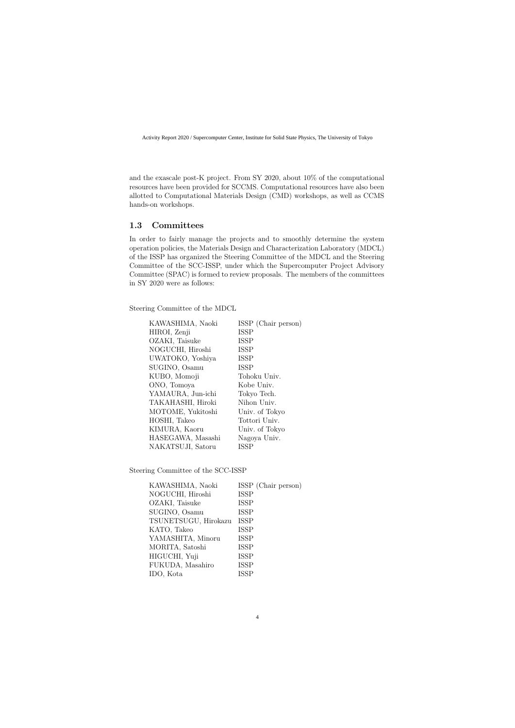and the exascale post-K project. From SY 2020, about 10% of the computational resources have been provided for SCCMS. Computational resources have also been allotted to Computational Materials Design (CMD) workshops, as well as CCMS hands-on workshops.

### **1.3 Committees**

In order to fairly manage the projects and to smoothly determine the system operation policies, the Materials Design and Characterization Laboratory (MDCL) of the ISSP has organized the Steering Committee of the MDCL and the Steering Committee of the SCC-ISSP, under which the Supercomputer Project Advisory Committee (SPAC) is formed to review proposals. The members of the committees in SY 2020 were as follows:

Steering Committee of the MDCL

| KAWASHIMA, Naoki  | ISSP (Chair person) |
|-------------------|---------------------|
| HIROI, Zenji      | <b>ISSP</b>         |
| OZAKI, Taisuke    | <b>ISSP</b>         |
| NOGUCHI, Hiroshi  | <b>ISSP</b>         |
| UWATOKO, Yoshiya  | <b>ISSP</b>         |
| SUGINO, Osamu     | <b>ISSP</b>         |
| KUBO, Momoji      | Tohoku Univ.        |
| ONO, Tomoya       | Kobe Univ.          |
| YAMAURA, Jun-ichi | Tokyo Tech.         |
| TAKAHASHI, Hiroki | Nihon Univ.         |
| MOTOME, Yukitoshi | Univ. of Tokyo      |
| HOSHI, Takeo      | Tottori Univ.       |
| KIMURA, Kaoru     | Univ. of Tokyo      |
| HASEGAWA, Masashi | Nagoya Univ.        |
| NAKATSUJI, Satoru | <b>ISSP</b>         |
|                   |                     |

Steering Committee of the SCC-ISSP

| KAWASHIMA, Naoki     | ISSP (Chair person) |
|----------------------|---------------------|
| NOGUCHI, Hiroshi     | <b>ISSP</b>         |
| OZAKI, Taisuke       | <b>ISSP</b>         |
| SUGINO, Osamu        | <b>ISSP</b>         |
| TSUNETSUGU, Hirokazu | <b>ISSP</b>         |
| KATO, Takeo          | <b>ISSP</b>         |
| YAMASHITA, Minoru    | <b>ISSP</b>         |
| MORITA, Satoshi      | <b>ISSP</b>         |
| HIGUCHI, Yuji        | <b>ISSP</b>         |
| FUKUDA, Masahiro     | <b>ISSP</b>         |
| IDO, Kota            | <b>ISSP</b>         |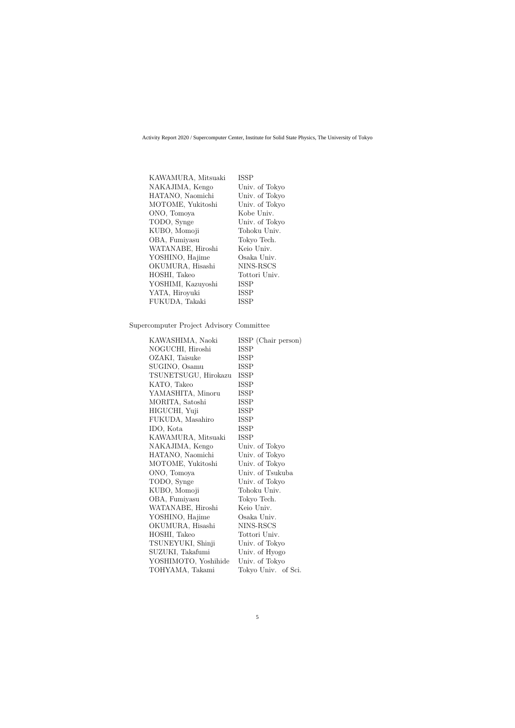| KAWAMURA, Mitsuaki | <b>ISSP</b>    |
|--------------------|----------------|
| NAKAJIMA, Kengo    | Univ. of Tokyo |
| HATANO, Naomichi   | Univ. of Tokyo |
| MOTOME, Yukitoshi  | Univ. of Tokyo |
| ONO, Tomoya        | Kobe Univ.     |
| TODO, Synge        | Univ. of Tokyo |
| KUBO, Momoji       | Tohoku Univ.   |
| OBA, Fumiyasu      | Tokyo Tech.    |
| WATANABE, Hiroshi  | Keio Univ.     |
| YOSHINO, Hajime    | Osaka Univ.    |
| OKUMURA, Hisashi   | NINS-RSCS      |
| HOSHI, Takeo       | Tottori Univ.  |
| YOSHIMI, Kazuyoshi | <b>ISSP</b>    |
| YATA, Hiroyuki     | <b>ISSP</b>    |
| FUKUDA, Takaki     | <b>ISSP</b>    |

#### Supercomputer Project Advisory Committee

| KAWASHIMA, Naoki     | ISSP (Chair person) |
|----------------------|---------------------|
| NOGUCHI, Hiroshi     | ISSP                |
| OZAKI, Taisuke       | <b>ISSP</b>         |
| SUGINO, Osamu        | <b>ISSP</b>         |
| TSUNETSUGU, Hirokazu | <b>ISSP</b>         |
| KATO, Takeo          | <b>ISSP</b>         |
| YAMASHITA, Minoru    | ISSP                |
| MORITA, Satoshi      | <b>ISSP</b>         |
| HIGUCHI, Yuji        | <b>ISSP</b>         |
| FUKUDA, Masahiro     | <b>ISSP</b>         |
| IDO, Kota            | <b>ISSP</b>         |
| KAWAMURA, Mitsuaki   | <b>ISSP</b>         |
| NAKAJIMA, Kengo      | Univ. of Tokyo      |
| HATANO, Naomichi     | Univ. of Tokyo      |
| MOTOME, Yukitoshi    | Univ. of Tokyo      |
| ONO, Tomoya          | Univ. of Tsukuba    |
| TODO, Synge          | Univ. of Tokyo      |
| KUBO, Momoji         | Tohoku Univ.        |
| OBA, Fumiyasu        | Tokyo Tech.         |
| WATANABE, Hiroshi    | Keio Univ.          |
| YOSHINO, Hajime      | Osaka Univ.         |
| OKUMURA, Hisashi     | NINS-RSCS           |
| HOSHI, Takeo         | Tottori Univ.       |
| TSUNEYUKI, Shinji    | Univ. of Tokyo      |
| SUZUKI, Takafumi     | Univ. of Hyogo      |
| YOSHIMOTO, Yoshihide | Univ. of Tokyo      |
| TOHYAMA, Takami      | Tokyo Univ. of Sci. |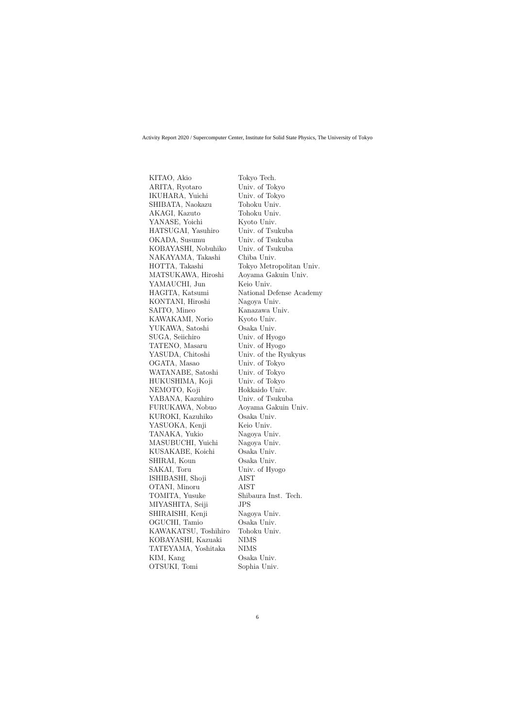KITAO, Akio Tokyo Tech. ARITA, Ryotaro Univ. of Tokyo IKUHARA, Yuichi Univ. of Tokyo SHIBATA, Naokazu Tohoku Univ. AKAGI, Kazuto Tohoku Univ. YANASE, Yoichi Kyoto Univ. HATSUGAI, Yasuhiro Univ. of Tsukuba OKADA, Susumu Univ. of Tsukuba KOBAYASHI, Nobuhiko Univ. of Tsukuba NAKAYAMA, Takashi Chiba Univ. HOTTA, Takashi Tokyo Metropolitan Univ. MATSUKAWA, Hiroshi Aoyama Gakuin Univ. YAMAUCHI, Jun Keio Univ. HAGITA, Katsumi National Defense Academy KONTANI, Hiroshi Nagoya Univ. SAITO, Mineo Kanazawa Univ. KAWAKAMI, Norio Kyoto Univ. YUKAWA, Satoshi Osaka Univ. SUGA, Seiichiro Univ. of Hyogo TATENO, Masaru Univ. of Hyogo YASUDA, Chitoshi Univ. of the Ryukyus OGATA, Masao Univ. of Tokyo WATANABE, Satoshi Univ. of Tokyo HUKUSHIMA, Koji Univ. of Tokyo NEMOTO, Koji Hokkaido Univ. YABANA, Kazuhiro Univ. of Tsukuba FURUKAWA, Nobuo Aoyama Gakuin Univ. KUROKI, Kazuhiko Osaka Univ. YASUOKA, Kenji Keio Univ. TANAKA, Yukio Nagoya Univ. MASUBUCHI, Yuichi Nagoya Univ. KUSAKABE, Koichi Osaka Univ. SHIRAI, Koun Osaka Univ. SAKAI, Toru Univ. of Hyogo ISHIBASHI, Shoji AIST OTANI, Minoru AIST TOMITA, Yusuke Shibaura Inst. Tech. MIYASHITA, Seiji JPS SHIRAISHI, Kenji Nagoya Univ. OGUCHI, Tamio Osaka Univ. KAWAKATSU, Toshihiro Tohoku Univ. KOBAYASHI, Kazuaki NIMS TATEYAMA, Yoshitaka NIMS KIM, Kang  $Osaka Univ.$ OTSUKI, Tomi Sophia Univ.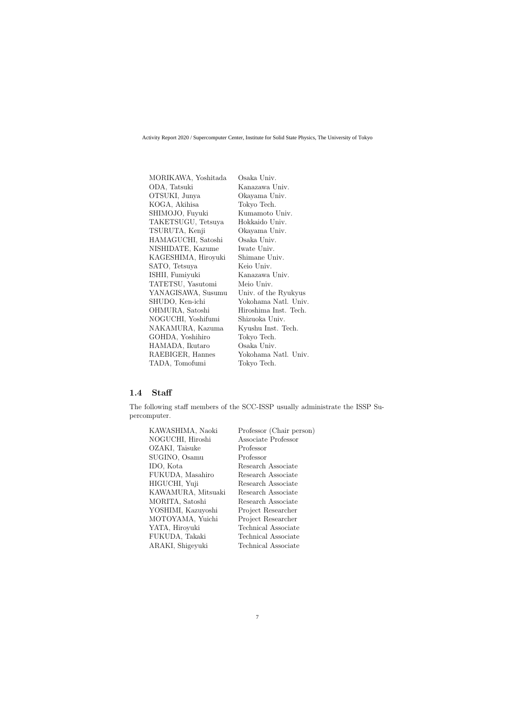| MORIKAWA, Yoshitada | Osaka Univ.           |
|---------------------|-----------------------|
| ODA, Tatsuki        | Kanazawa Univ.        |
| OTSUKI, Junya       | Okayama Univ.         |
| KOGA, Akihisa       | Tokyo Tech.           |
| SHIMOJO, Fuyuki     | Kumamoto Univ.        |
| TAKETSUGU, Tetsuya  | Hokkaido Univ.        |
| TSURUTA, Kenji      | Okayama Univ.         |
| HAMAGUCHI, Satoshi  | Osaka Univ.           |
| NISHIDATE, Kazume   | Iwate Univ.           |
| KAGESHIMA, Hiroyuki | Shimane Univ.         |
| SATO, Tetsuya       | Keio Univ.            |
| ISHII, Fumiyuki     | Kanazawa Univ.        |
| TATETSU, Yasutomi   | Meio Univ.            |
| YANAGISAWA, Susumu  | Univ. of the Ryukyus  |
| SHUDO, Ken-ichi     | Yokohama Natl. Univ.  |
| OHMURA, Satoshi     | Hiroshima Inst. Tech. |
| NOGUCHI, Yoshifumi  | Shizuoka Univ.        |
| NAKAMURA, Kazuma    | Kyushu Inst. Tech.    |
| GOHDA, Yoshihiro    | Tokyo Tech.           |
| HAMADA, Ikutaro     | Osaka Univ.           |
| RAEBIGER, Hannes    | Yokohama Natl. Univ.  |
| TADA, Tomofumi      | Tokyo Tech.           |

## **1.4 Staff**

The following staff members of the SCC-ISSP usually administrate the ISSP Supercomputer.

| KAWASHIMA, Naoki   | Professor (Chair person)   |
|--------------------|----------------------------|
| NOGUCHI, Hiroshi   | Associate Professor        |
| OZAKI, Taisuke     | Professor                  |
| SUGINO, Osamu      | Professor                  |
| IDO, Kota          | Research Associate         |
| FUKUDA, Masahiro   | Research Associate         |
| HIGUCHI, Yuji      | Research Associate         |
| KAWAMURA, Mitsuaki | Research Associate         |
| MORITA, Satoshi    | Research Associate         |
| YOSHIMI, Kazuyoshi | Project Researcher         |
| MOTOYAMA, Yuichi   | Project Researcher         |
| YATA, Hiroyuki     | <b>Technical Associate</b> |
| FUKUDA, Takaki     | Technical Associate        |
| ARAKI, Shigeyuki   | Technical Associate        |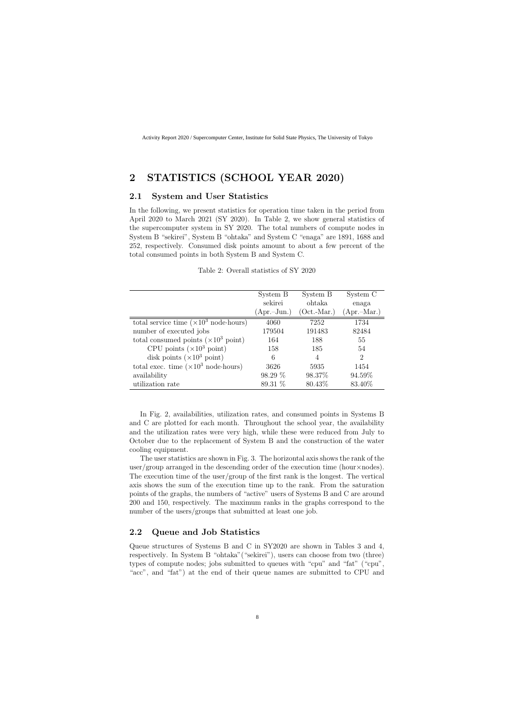# **2 STATISTICS (SCHOOL YEAR 2020)**

#### **2.1 System and User Statistics**

In the following, we present statistics for operation time taken in the period from April 2020 to March 2021 (SY 2020). In Table 2, we show general statistics of the supercomputer system in SY 2020. The total numbers of compute nodes in System B "sekirei", System B "ohtaka" and System C "enaga" are 1891, 1688 and 252, respectively. Consumed disk points amount to about a few percent of the total consumed points in both System B and System C.

|                                                       | System B      | System B       | System C      |
|-------------------------------------------------------|---------------|----------------|---------------|
|                                                       | sekirei       | ohtaka         | enaga         |
|                                                       | $(Apr.-Jun.)$ | $(Oct.-Mar.)$  | $(Apr.-Mar.)$ |
| total service time $(\times 10^3 \text{ node-hours})$ | 4060          | 7252           | 1734          |
| number of executed jobs                               | 179504        | 191483         | 82484         |
| total consumed points $(\times 10^3 \text{ point})$   | 164           | 188            | 55            |
| CPU points $(\times 10^3 \text{ point})$              | 158           | 185            | 54            |
| disk points $(\times 10^3 \text{ point})$             | 6             | $\overline{4}$ | 2             |
| total exec. time $(\times 10^3 \text{ node-hours})$   | 3626          | 5935           | 1454          |
| availability                                          | $98.29\%$     | 98.37\%        | 94.59%        |
| utilization rate                                      | 89.31 %       | 80.43\%        | 83.40%        |

Table 2: Overall statistics of SY 2020

In Fig. 2, availabilities, utilization rates, and consumed points in Systems B and C are plotted for each month. Throughout the school year, the availability and the utilization rates were very high, while these were reduced from July to October due to the replacement of System B and the construction of the water cooling equipment.

The user statistics are shown in Fig. 3. The horizontal axis shows the rank of the user/group arranged in the descending order of the execution time (hour*×*nodes). The execution time of the user/group of the first rank is the longest. The vertical axis shows the sum of the execution time up to the rank. From the saturation points of the graphs, the numbers of "active" users of Systems B and C are around 200 and 150, respectively. The maximum ranks in the graphs correspond to the number of the users/groups that submitted at least one job.

### **2.2 Queue and Job Statistics**

Queue structures of Systems B and C in SY2020 are shown in Tables 3 and 4, respectively. In System B "ohtaka"("sekirei"), users can choose from two (three) types of compute nodes; jobs submitted to queues with "cpu" and "fat" ("cpu", "acc", and "fat") at the end of their queue names are submitted to CPU and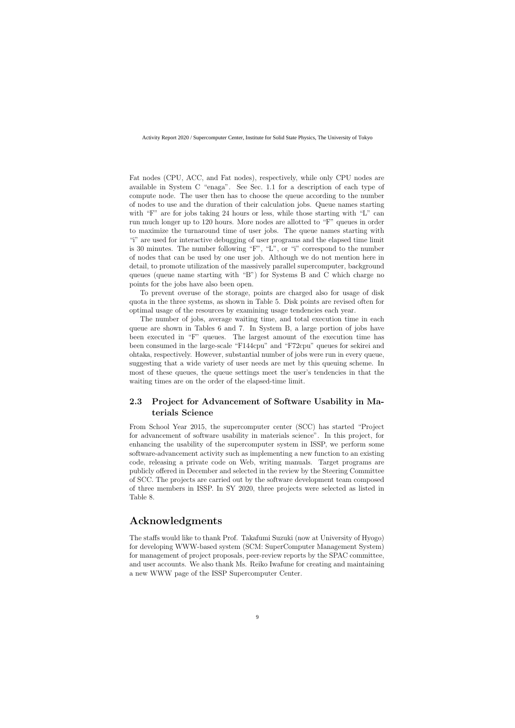Fat nodes (CPU, ACC, and Fat nodes), respectively, while only CPU nodes are available in System C "enaga". See Sec. 1.1 for a description of each type of compute node. The user then has to choose the queue according to the number of nodes to use and the duration of their calculation jobs. Queue names starting with "F" are for jobs taking 24 hours or less, while those starting with "L" can run much longer up to 120 hours. More nodes are allotted to "F" queues in order to maximize the turnaround time of user jobs. The queue names starting with "i" are used for interactive debugging of user programs and the elapsed time limit is 30 minutes. The number following "F", "L", or "i" correspond to the number of nodes that can be used by one user job. Although we do not mention here in detail, to promote utilization of the massively parallel supercomputer, background queues (queue name starting with "B") for Systems B and C which charge no points for the jobs have also been open.

To prevent overuse of the storage, points are charged also for usage of disk quota in the three systems, as shown in Table 5. Disk points are revised often for optimal usage of the resources by examining usage tendencies each year.

The number of jobs, average waiting time, and total execution time in each queue are shown in Tables 6 and 7. In System B, a large portion of jobs have been executed in "F" queues. The largest amount of the execution time has been consumed in the large-scale "F144cpu" and "F72cpu" queues for sekirei and ohtaka, respectively. However, substantial number of jobs were run in every queue, suggesting that a wide variety of user needs are met by this queuing scheme. In most of these queues, the queue settings meet the user's tendencies in that the waiting times are on the order of the elapsed-time limit.

### **2.3 Project for Advancement of Software Usability in Materials Science**

From School Year 2015, the supercomputer center (SCC) has started "Project for advancement of software usability in materials science". In this project, for enhancing the usability of the supercomputer system in ISSP, we perform some software-advancement activity such as implementing a new function to an existing code, releasing a private code on Web, writing manuals. Target programs are publicly offered in December and selected in the review by the Steering Committee of SCC. The projects are carried out by the software development team composed of three members in ISSP. In SY 2020, three projects were selected as listed in Table 8.

# **Acknowledgments**

The staffs would like to thank Prof. Takafumi Suzuki (now at University of Hyogo) for developing WWW-based system (SCM: SuperComputer Management System) for management of project proposals, peer-review reports by the SPAC committee, and user accounts. We also thank Ms. Reiko Iwafune for creating and maintaining a new WWW page of the ISSP Supercomputer Center.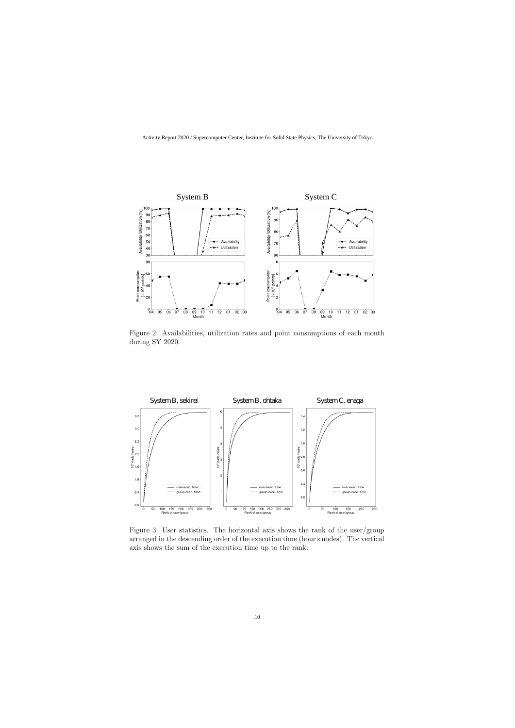

Figure 2: Availabilities, utilization rates and point consumptions of each month during SY 2020.



Figure 3: User statistics. The horizontal axis shows the rank of the user/group arranged in the descending order of the execution time (hour*×*nodes). The vertical axis shows the sum of the execution time up to the rank.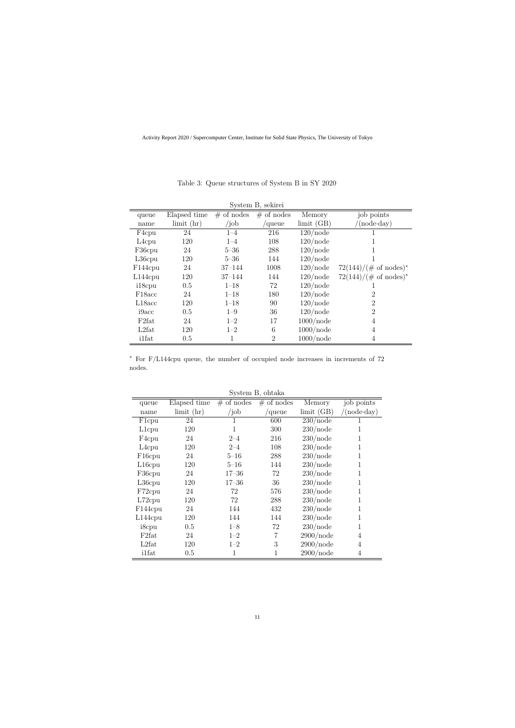| System B, sekirei   |                  |              |                |                     |                                  |  |
|---------------------|------------------|--------------|----------------|---------------------|----------------------------------|--|
| queue               | Elapsed time     | $#$ of nodes | $#$ of nodes   | Memory              | job points                       |  |
| name                | $\lim$ it $(hr)$ | /job         | queue          | $\text{limit (GB)}$ | $(\text{node-day})$              |  |
| F4cpu               | 24               | $1 - 4$      | 216            | $120$ /node         |                                  |  |
| L <sub>4</sub> cpu  | 120              | $1 - 4$      | 108            | $120$ /node         |                                  |  |
| F36cpu              | 24               | $5 - 36$     | 288            | $120$ /node         |                                  |  |
| $L36$ cpu           | 120              | $5 - 36$     | 144            | $120$ /node         |                                  |  |
| F144cpu             | 24               | $37 - 144$   | 1008           | $120$ /node         | $72(144)/(\text{\# of nodes})^*$ |  |
| $L144$ cpu          | 120              | $37 - 144$   | 144            | $120$ /node         | $72(144)/(\text{\# of nodes})^*$ |  |
| i18cpu              | 0.5              | $1 - 18$     | 72             | $120$ /node         |                                  |  |
| F <sub>18</sub> acc | 24               | $1 - 18$     | 180            | $120$ /node         | $\overline{2}$                   |  |
| L18acc              | 120              | $1 - 18$     | 90             | $120$ /node         | $\overline{2}$                   |  |
| i9acc               | 0.5              | $1 - 9$      | 36             | $120$ /node         | $\overline{2}$                   |  |
| F <sub>2</sub> fat  | 24               | $1 - 2$      | 17             | $1000$ /node        | 4                                |  |
| L2fat               | 120              | $1 - 2$      | 6              | $1000$ /node        | 4                                |  |
| <i>i</i> 1fat       | 0.5              | 1            | $\overline{2}$ | $1000$ /node        | 4                                |  |

#### Table 3: Queue structures of System B in SY 2020

*∗* For F/L144cpu queue, the number of occupied node increases in increments of 72 nodes.

|                     |                  |              | рузиет в, опиака |            |                   |
|---------------------|------------------|--------------|------------------|------------|-------------------|
| queue               | Elapsed time     | $#$ of nodes | $#$ of nodes     | Memory     | job points        |
| name                | $\lim$ it $(hr)$ | $\int$ job   | queue            | limit (GB) | $(node\cdot day)$ |
| F <sub>1</sub> cpu  | 24               | 1            | 600              | 230/node   |                   |
| L <sub>1</sub> cpu  | 120              | 1            | 300              | 230/node   |                   |
| F <sub>4</sub> cpu  | 24               | $2 - 4$      | 216              | 230/node   |                   |
| L <sub>4</sub> cpu  | 120              | $2 - 4$      | 108              | 230/node   |                   |
| F <sub>16</sub> cpu | 24               | $5 - 16$     | 288              | 230/node   |                   |
| L <sub>16</sub> cpu | 120              | $5 - 16$     | 144              | 230/node   |                   |
| F36cpu              | 24               | $17 - 36$    | 72               | 230/node   |                   |
| $L36$ cpu           | 120              | $17 - 36$    | 36               | 230/node   |                   |
| F72cpu              | 24               | 72           | 576              | 230/node   |                   |
| $L72$ cpu           | 120              | 72           | 288              | 230/node   |                   |
| F144cpu             | 24               | 144          | 432              | 230/node   |                   |
| L144cpu             | 120              | 144          | 144              | 230/node   |                   |
| i8cpu               | 0.5              | $1 - 8$      | 72               | 230/node   | 1                 |
| F <sub>2</sub> fat  | 24               | $1 - 2$      | 7                | 2900/node  | $\overline{4}$    |
| L2fat               | 120              | $1 - 2$      | 3                | 2900/node  | 4                 |
| <i>i</i> 1fat       | 0.5              | 1            | 1                | 2900/node  | $\overline{4}$    |

 $S<sub>vector</sub> R<sub>other</sub>$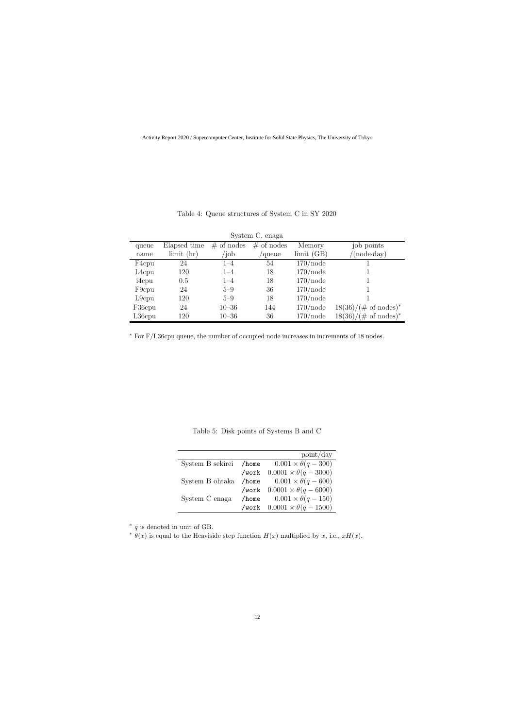| System C, enaga    |                  |              |              |             |                                 |
|--------------------|------------------|--------------|--------------|-------------|---------------------------------|
| queue              | Elapsed time     | $#$ of nodes | $#$ of nodes | Memory      | job points                      |
| name               | $\lim$ it $(hr)$ | $\delta$     | 'queue       | limit(GB)   | $'(node \cdot day)$             |
| F <sub>4</sub> cpu | 24               | $1 - 4$      | 54           | $170$ /node |                                 |
| L <sub>4</sub> cpu | 120              | $1 - 4$      | 18           | $170$ /node |                                 |
| i4cpu              | 0.5              | $1 - 4$      | 18           | $170$ /node |                                 |
| F <sub>9</sub> cpu | 24               | $5 - 9$      | 36           | $170$ /node |                                 |
| $L9$ cpu           | 120              | $5 - 9$      | 18           | $170$ /node |                                 |
| F36cpu             | 24               | $10 - 36$    | 144          | $170$ /node | $18(36)/(\text{\# of nodes})^*$ |
| $L36$ cpu          | 120              | $10 - 36$    | 36           | $170$ /node | $18(36)/(\text{\# of nodes})^*$ |

#### Table 4: Queue structures of System C in SY 2020

*∗* For F/L36cpu queue, the number of occupied node increases in increments of 18 nodes.

Table 5: Disk points of Systems B and C

|                        |       | point/day                              |
|------------------------|-------|----------------------------------------|
| System B sekirei /home |       | $0.001 \times \theta(q-300)$           |
|                        |       | /work $0.0001 \times \theta(q - 3000)$ |
| System B ohtaka        | /home | $0.001 \times \theta(q - 600)$         |
|                        |       | /work $0.0001 \times \theta(q - 6000)$ |
| System C enaga         | /home | $0.001 \times \theta(q - 150)$         |
|                        |       | /work $0.0001 \times \theta(q - 1500)$ |

*∗ q* is denoted in unit of GB.

 $\theta(x)$  is equal to the Heaviside step function  $H(x)$  multiplied by *x*, i.e.,  $xH(x)$ .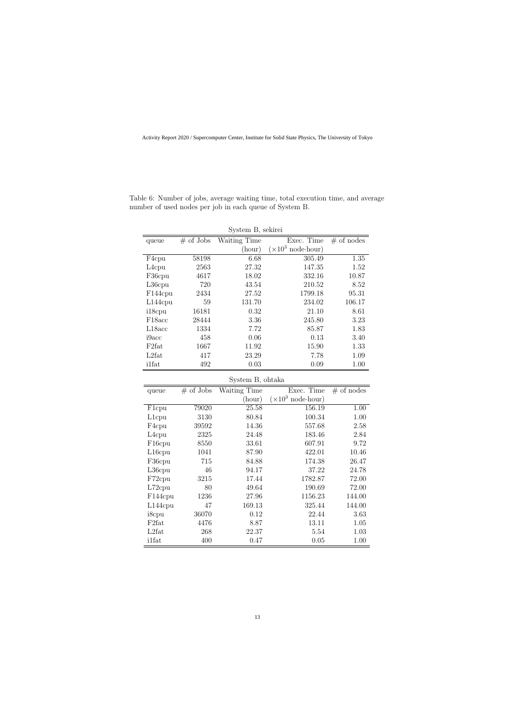| System B, sekirei    |              |              |                                   |              |
|----------------------|--------------|--------------|-----------------------------------|--------------|
| queue                | $\#$ of Jobs | Waiting Time | Exec. Time                        | $#$ of nodes |
|                      |              | (hour)       | $(\times 10^3 \text{ node-hour})$ |              |
| F4cpu                | 58198        | 6.68         | 305.49                            | 1.35         |
| L <sub>4</sub> cpu   | 2563         | 27.32        | 147.35                            | 1.52         |
| F36cpu               | 4617         | 18.02        | 332.16                            | 10.87        |
| $L36$ cpu            | 720          | 43.54        | 210.52                            | 8.52         |
| F <sub>144</sub> cpu | 2434         | 27.52        | 1799.18                           | 95.31        |
| $L144$ cpu           | 59           | 131.70       | 234.02                            | 106.17       |
| i18cpu               | 16181        | 0.32         | 21.10                             | 8.61         |
| F <sub>18</sub> acc  | 28444        | 3.36         | 245.80                            | 3.23         |
| L18acc               | 1334         | 7.72         | 85.87                             | 1.83         |
| i9acc                | 458          | 0.06         | 0.13                              | 3.40         |
| F <sub>2</sub> fat   | 1667         | 11.92        | 15.90                             | 1.33         |
| L2fat                | 417          | 23.29        | 7.78                              | 1.09         |
| <i>i</i> 1fat        | 492          | 0.03         | 0.09                              | 1.00         |

Table 6: Number of jobs, average waiting time, total execution time, and average number of used nodes per job in each queue of System B.

| System B, ohtaka |  |
|------------------|--|
|                  |  |

| queue               | $\#$ of Jobs | Waiting Time | Exec. Time                        | $#$ of nodes |
|---------------------|--------------|--------------|-----------------------------------|--------------|
|                     |              | (hour)       | $(\times 10^3 \text{ node-hour})$ |              |
| F <sub>1</sub> cpu  | 79020        | 25.58        | 156.19                            | 1.00         |
| L <sub>1</sub> cpu  | 3130         | 80.84        | 100.34                            | 1.00         |
| F4cpu               | 39592        | 14.36        | 557.68                            | 2.58         |
| L <sub>4</sub> cpu  | 2325         | 24.48        | 183.46                            | 2.84         |
| F <sub>16</sub> cpu | 8550         | 33.61        | 607.91                            | 9.72         |
| L <sub>16</sub> cpu | 1041         | 87.90        | 422.01                            | 10.46        |
| F36cpu              | 715          | 84.88        | 174.38                            | 26.47        |
| L36cpu              | 46           | 94.17        | 37.22                             | 24.78        |
| F72cpu              | 3215         | 17.44        | 1782.87                           | 72.00        |
| L72cpu              | 80           | 49.64        | 190.69                            | 72.00        |
| F144cpu             | 1236         | 27.96        | 1156.23                           | 144.00       |
| $L144$ cpu          | 47           | 169.13       | 325.44                            | 144.00       |
| i8cpu               | 36070        | 0.12         | 22.44                             | 3.63         |
| F <sub>2</sub> fat  | 4476         | 8.87         | 13.11                             | 1.05         |
| L2fat               | 268          | 22.37        | 5.54                              | 1.03         |
| <i>i</i> 1fat       | 400          | 0.47         | 0.05                              | 1.00         |